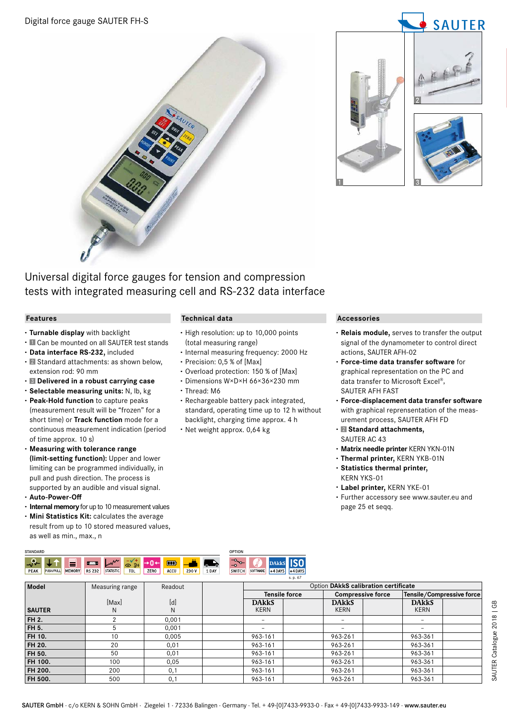



Universal digital force gauges for tension and compression tests with integrated measuring cell and RS-232 data interface

## **Features**

- **· Turnable display** with backlight
- **·** Can be mounted on all SAUTER test stands
- **· Data interface RS-232,** included
- **· Z** Standard attachments: as shown below, extension rod: 90 mm
- **· Delivered in a robust carrying case**
- **· Selectable measuring units:** N, lb, kg
- **· Peak-Hold function** to capture peaks (measurement result will be "frozen" for a short time) or **Track function** mode for a continuous measurement indication (period of time approx. 10 s)
- **· Measuring with tolerance range (limit-setting function):** Upper and lower limiting can be programmed individually, in pull and push direction. The process is supported by an audible and visual signal.
- **· Auto-Power-Off**
- **· Internal memory** for up to 10 measurement values
- **· Mini Statistics Kit:** calculates the average result from up to 10 stored measured values, as well as min., max., n

## **Technical data**

- **·** High resolution: up to 10,000 points (total measuring range)
- **·** Internal measuring frequency: 2000 Hz
- **·** Precision: 0,5 % of [Max]
- **·** Overload protection: 150 % of [Max]
- **·** Dimensions W×D×H 66×36×230 mm
- **·** Thread: M6
- **·** Rechargeable battery pack integrated, standard, operating time up to 12 h without backlight, charging time approx. 4 h
- **·** Net weight approx. 0,64 kg

## **Accessories**

- **· Relais module,** serves to transfer the output signal of the dynamometer to control direct actions, SAUTER AFH-02
- **· Force-time data transfer software** for graphical representation on the PC and data transfer to Microsoft Excel®, SAUTER AFH FAST
- **· Force-displacement data transfer software** with graphical reprensentation of the measurement process, SAUTER AFH FD
- **· Standard attachments,** SAUTER AC 43
- **· Matrix needle printer** KERN YKN-01N
- **· Thermal printer,** KERN YKB-01N
- **· Statistics thermal printer,** KERN YKS-01
- **· Label printer,** KERN YKE-01
- **·** Further accessory see www.sauter.eu and page 25 et seqq.



| Model         | Measuring range | Readout |              | Option DAkkS calibration certificate |                          |                           |  |
|---------------|-----------------|---------|--------------|--------------------------------------|--------------------------|---------------------------|--|
|               |                 |         |              | <b>Tensile force</b>                 | <b>Compressive force</b> | Tensile/Compressive force |  |
|               | [Max]           | [d]     | <b>DARKS</b> | <b>DARKS</b>                         | <b>DARKS</b>             |                           |  |
| <b>SAUTER</b> | N               | N       | <b>KERN</b>  | <b>KERN</b>                          | <b>KERN</b>              |                           |  |
| <b>FH 2.</b>  |                 | 0.001   |              |                                      |                          |                           |  |
| FH 5.         |                 | 0.001   |              |                                      |                          |                           |  |
| FH 10.        | 10              | 0.005   | 963-161      | 963-261                              | 963-361                  |                           |  |
| <b>FH 20.</b> | 20              | 0,01    | 963-161      | 963-261                              | 963-361                  |                           |  |
| <b>FH 50.</b> | 50              | 0,01    | 963-161      | 963-261                              | 963-361                  |                           |  |
| FH 100.       | 100             | 0,05    | 963-161      | 963-261                              | 963-361                  |                           |  |
| FH 200.       | 200             | 0,1     | 963-161      | 963-261                              | 963-361                  |                           |  |
| FH 500.       | 500             | 0,1     | 963-161      | 963-261                              | 963-361                  |                           |  |